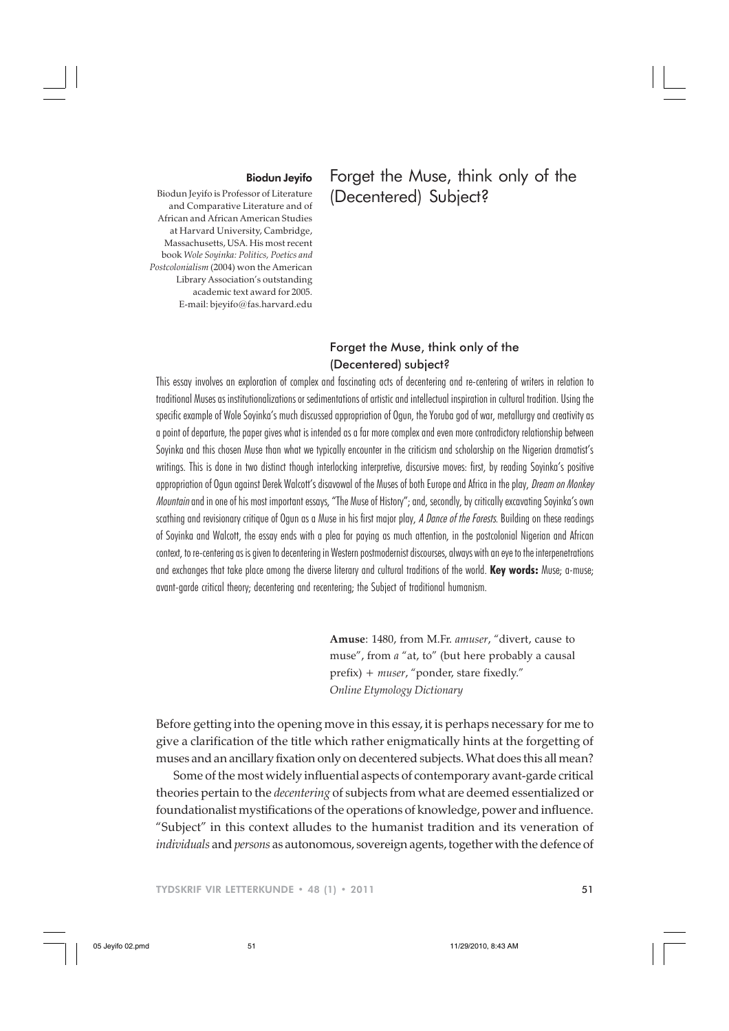### Biodun Jeyifo

Biodun Jeyifo is Professor of Literature and Comparative Literature and of African and African American Studies at Harvard University, Cambridge, Massachusetts, USA. His most recent book *Wole Soyinka: Politics, Poetics and Postcolonialism* (2004) won the American Library Association's outstanding academic text award for 2005. E-mail: bjeyifo@fas.harvard.edu

# Forget the Muse, think only of the (Decentered) Subject?

## Forget the Muse, think only of the (Decentered) subject?

This essay involves an exploration of complex and fascinating acts of decentering and re-centering of writers in relation to traditional Muses as institutionalizations or sedimentations of artistic and intellectual inspiration in cultural tradition. Using the specific example of Wole Soyinka's much discussed appropriation of Ogun, the Yoruba god of war, metallurgy and creativity as a point of departure, the paper gives what is intended as a far more complex and even more contradictory relationship between Sovinka and this chosen Muse than what we typically encounter in the criticism and scholarship on the Nigerian dramatist's writings. This is done in two distinct though interlocking interpretive, discursive moves: first, by reading Soyinka's positive appropriation of Ogun against Derek Walcott's disavowal of the Muses of both Europe and Africa in the play, Dream on Monkey Mountain and in one of his most important essays, "The Muse of History"; and, secondly, by critically excavating Soyinka's own scathing and revisionary critique of Ogun as a Muse in his first major play, A Dance of the Forests. Building on these readings of Soyinka and Walcott, the essay ends with a plea for paying as much attention, in the postcolonial Nigerian and African context, to re-centering as is given to decentering in Western postmodernist discourses, always with an eye to the interpenetrations and exchanges that take place among the diverse literary and cultural traditions of the world. **Key words:** Muse; a-muse; avant-garde critical theory; decentering and recentering; the Subject of traditional humanism.

> **Amuse**: 1480, from M.Fr. *amuser*, "divert, cause to muse", from *a* "at, to" (but here probably a causal prefix) + *muser*, "ponder, stare fixedly." *Online Etymology Dictionary*

Before getting into the opening move in this essay, it is perhaps necessary for me to give a clarification of the title which rather enigmatically hints at the forgetting of muses and an ancillary fixation only on decentered subjects. What does this all mean?

Some of the most widely influential aspects of contemporary avant-garde critical theories pertain to the *decentering* of subjects from what are deemed essentialized or foundationalist mystifications of the operations of knowledge, power and influence. "Subject" in this context alludes to the humanist tradition and its veneration of *individuals* and *persons* as autonomous, sovereign agents, together with the defence of

TYDSKRIF VIR LETTERKUNDE • 48 (1) • 2011 51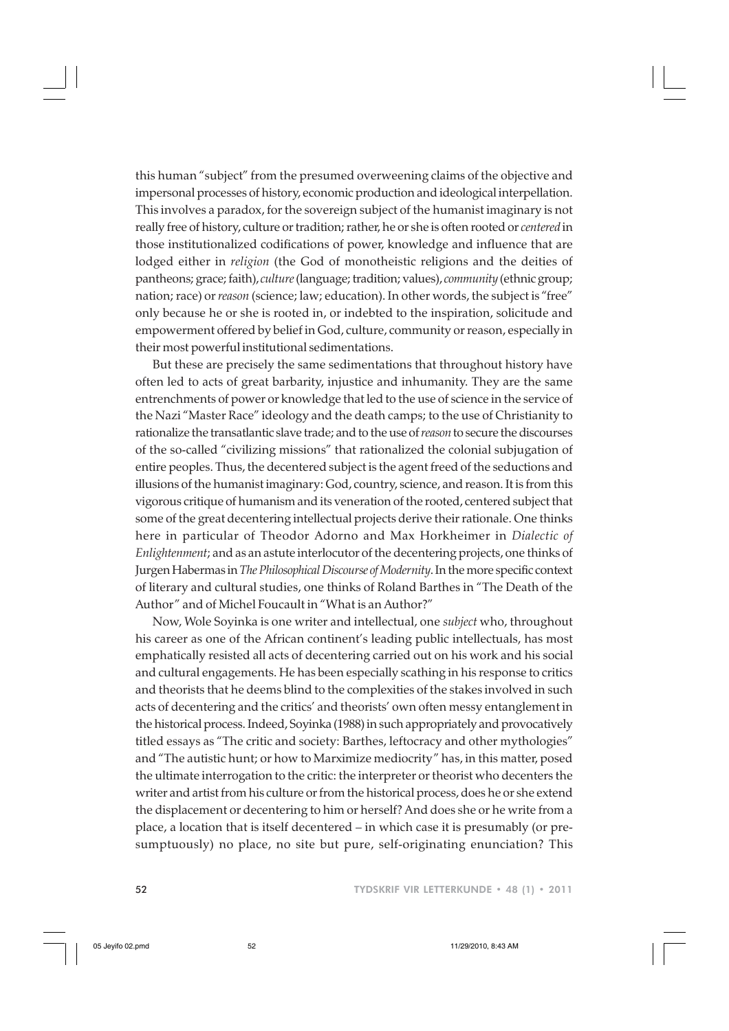this human "subject" from the presumed overweening claims of the objective and impersonal processes of history, economic production and ideological interpellation. This involves a paradox, for the sovereign subject of the humanist imaginary is not really free of history, culture or tradition; rather, he or she is often rooted or *centered* in those institutionalized codifications of power, knowledge and influence that are lodged either in *religion* (the God of monotheistic religions and the deities of pantheons; grace; faith), *culture* (language; tradition; values), *community* (ethnic group; nation; race) or *reason* (science; law; education). In other words, the subject is "free" only because he or she is rooted in, or indebted to the inspiration, solicitude and empowerment offered by belief in God, culture, community or reason, especially in their most powerful institutional sedimentations.

But these are precisely the same sedimentations that throughout history have often led to acts of great barbarity, injustice and inhumanity. They are the same entrenchments of power or knowledge that led to the use of science in the service of the Nazi "Master Race" ideology and the death camps; to the use of Christianity to rationalize the transatlantic slave trade; and to the use of *reason* to secure the discourses of the so-called "civilizing missions" that rationalized the colonial subjugation of entire peoples. Thus, the decentered subject is the agent freed of the seductions and illusions of the humanist imaginary: God, country, science, and reason. It is from this vigorous critique of humanism and its veneration of the rooted, centered subject that some of the great decentering intellectual projects derive their rationale. One thinks here in particular of Theodor Adorno and Max Horkheimer in *Dialectic of Enlightenment*; and as an astute interlocutor of the decentering projects, one thinks of Jurgen Habermas in *The Philosophical Discourse of Modernity*. In the more specific context of literary and cultural studies, one thinks of Roland Barthes in "The Death of the Author" and of Michel Foucault in "What is an Author?"

Now, Wole Soyinka is one writer and intellectual, one *subject* who, throughout his career as one of the African continent's leading public intellectuals, has most emphatically resisted all acts of decentering carried out on his work and his social and cultural engagements. He has been especially scathing in his response to critics and theorists that he deems blind to the complexities of the stakes involved in such acts of decentering and the critics' and theorists' own often messy entanglement in the historical process. Indeed, Soyinka (1988) in such appropriately and provocatively titled essays as "The critic and society: Barthes, leftocracy and other mythologies" and "The autistic hunt; or how to Marximize mediocrity" has, in this matter, posed the ultimate interrogation to the critic: the interpreter or theorist who decenters the writer and artist from his culture or from the historical process, does he or she extend the displacement or decentering to him or herself? And does she or he write from a place, a location that is itself decentered – in which case it is presumably (or presumptuously) no place, no site but pure, self-originating enunciation? This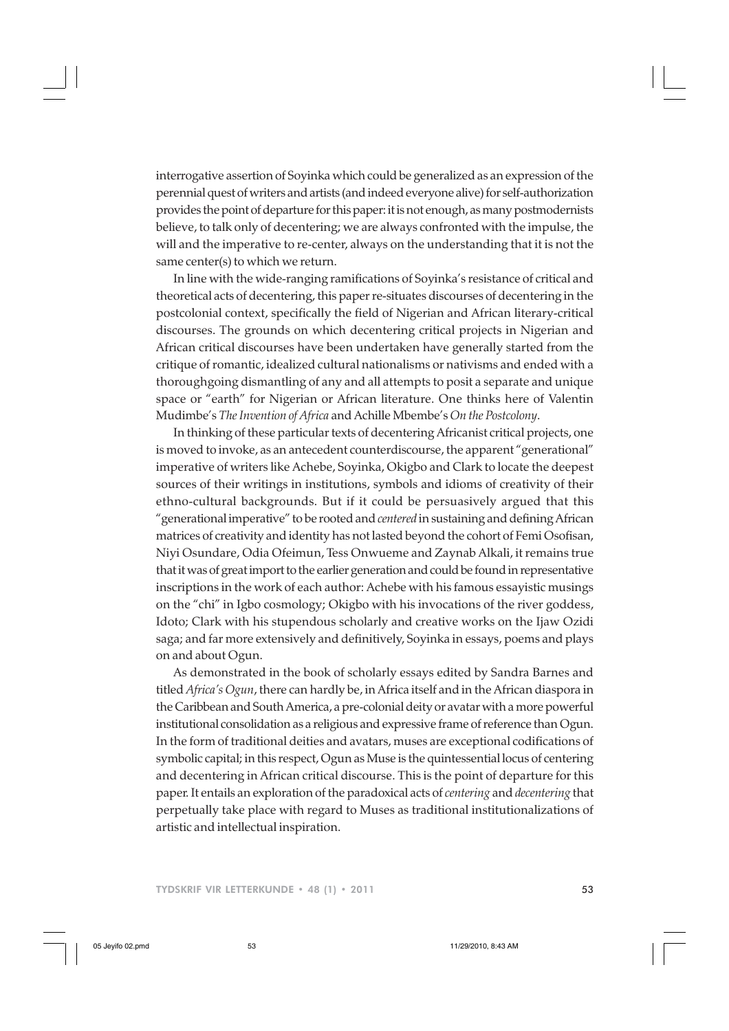interrogative assertion of Soyinka which could be generalized as an expression of the perennial quest of writers and artists (and indeed everyone alive) for self-authorization provides the point of departure for this paper: it is not enough, as many postmodernists believe, to talk only of decentering; we are always confronted with the impulse, the will and the imperative to re-center, always on the understanding that it is not the same center(s) to which we return.

In line with the wide-ranging ramifications of Soyinka's resistance of critical and theoretical acts of decentering, this paper re-situates discourses of decentering in the postcolonial context, specifically the field of Nigerian and African literary-critical discourses. The grounds on which decentering critical projects in Nigerian and African critical discourses have been undertaken have generally started from the critique of romantic, idealized cultural nationalisms or nativisms and ended with a thoroughgoing dismantling of any and all attempts to posit a separate and unique space or "earth" for Nigerian or African literature. One thinks here of Valentin Mudimbe's *The Invention of Africa* and Achille Mbembe's *On the Postcolony*.

In thinking of these particular texts of decentering Africanist critical projects, one is moved to invoke, as an antecedent counterdiscourse, the apparent "generational" imperative of writers like Achebe, Soyinka, Okigbo and Clark to locate the deepest sources of their writings in institutions, symbols and idioms of creativity of their ethno-cultural backgrounds. But if it could be persuasively argued that this "generational imperative" to be rooted and *centered* in sustaining and defining African matrices of creativity and identity has not lasted beyond the cohort of Femi Osofisan, Niyi Osundare, Odia Ofeimun, Tess Onwueme and Zaynab Alkali, it remains true that it was of great import to the earlier generation and could be found in representative inscriptions in the work of each author: Achebe with his famous essayistic musings on the "chi" in Igbo cosmology; Okigbo with his invocations of the river goddess, Idoto; Clark with his stupendous scholarly and creative works on the Ijaw Ozidi saga; and far more extensively and definitively, Soyinka in essays, poems and plays on and about Ogun.

As demonstrated in the book of scholarly essays edited by Sandra Barnes and titled *Africa's Ogun*, there can hardly be, in Africa itself and in the African diaspora in the Caribbean and South America, a pre-colonial deity or avatar with a more powerful institutional consolidation as a religious and expressive frame of reference than Ogun. In the form of traditional deities and avatars, muses are exceptional codifications of symbolic capital; in this respect, Ogun as Muse is the quintessential locus of centering and decentering in African critical discourse. This is the point of departure for this paper. It entails an exploration of the paradoxical acts of *centering* and *decentering* that perpetually take place with regard to Muses as traditional institutionalizations of artistic and intellectual inspiration.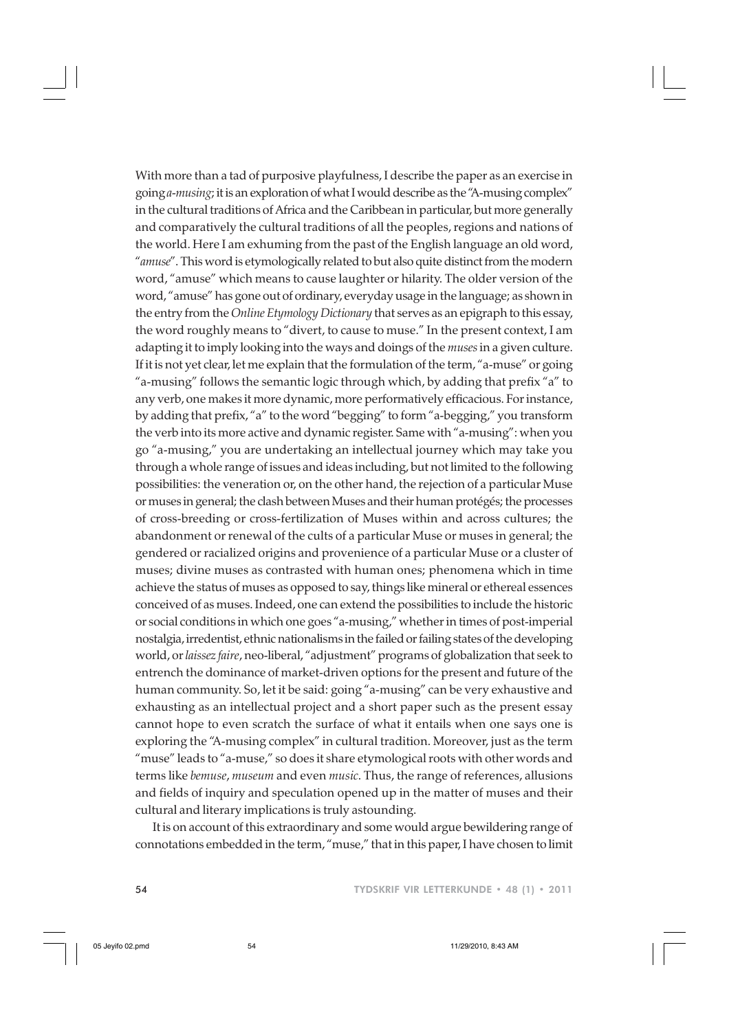With more than a tad of purposive playfulness, I describe the paper as an exercise in going *a-musing*; it is an exploration of what I would describe as the "A-musing complex" in the cultural traditions of Africa and the Caribbean in particular, but more generally and comparatively the cultural traditions of all the peoples, regions and nations of the world. Here I am exhuming from the past of the English language an old word, "*amuse*". This word is etymologically related to but also quite distinct from the modern word, "amuse" which means to cause laughter or hilarity. The older version of the word, "amuse" has gone out of ordinary, everyday usage in the language; as shown in the entry from the *Online Etymology Dictionary* that serves as an epigraph to this essay, the word roughly means to "divert, to cause to muse." In the present context, I am adapting it to imply looking into the ways and doings of the *muses* in a given culture. If it is not yet clear, let me explain that the formulation of the term, "a-muse" or going "a-musing" follows the semantic logic through which, by adding that prefix "a" to any verb, one makes it more dynamic, more performatively efficacious. For instance, by adding that prefix, "a" to the word "begging" to form "a-begging," you transform the verb into its more active and dynamic register. Same with "a-musing": when you go "a-musing," you are undertaking an intellectual journey which may take you through a whole range of issues and ideas including, but not limited to the following possibilities: the veneration or, on the other hand, the rejection of a particular Muse or muses in general; the clash between Muses and their human protégés; the processes of cross-breeding or cross-fertilization of Muses within and across cultures; the abandonment or renewal of the cults of a particular Muse or muses in general; the gendered or racialized origins and provenience of a particular Muse or a cluster of muses; divine muses as contrasted with human ones; phenomena which in time achieve the status of muses as opposed to say, things like mineral or ethereal essences conceived of as muses. Indeed, one can extend the possibilities to include the historic or social conditions in which one goes "a-musing," whether in times of post-imperial nostalgia, irredentist, ethnic nationalisms in the failed or failing states of the developing world, or *laissez faire*, neo-liberal, "adjustment" programs of globalization that seek to entrench the dominance of market-driven options for the present and future of the human community. So, let it be said: going "a-musing" can be very exhaustive and exhausting as an intellectual project and a short paper such as the present essay cannot hope to even scratch the surface of what it entails when one says one is exploring the "A-musing complex" in cultural tradition. Moreover, just as the term "muse" leads to "a-muse," so does it share etymological roots with other words and terms like *bemuse*, *museum* and even *music*. Thus, the range of references, allusions and fields of inquiry and speculation opened up in the matter of muses and their cultural and literary implications is truly astounding.

It is on account of this extraordinary and some would argue bewildering range of connotations embedded in the term, "muse," that in this paper, I have chosen to limit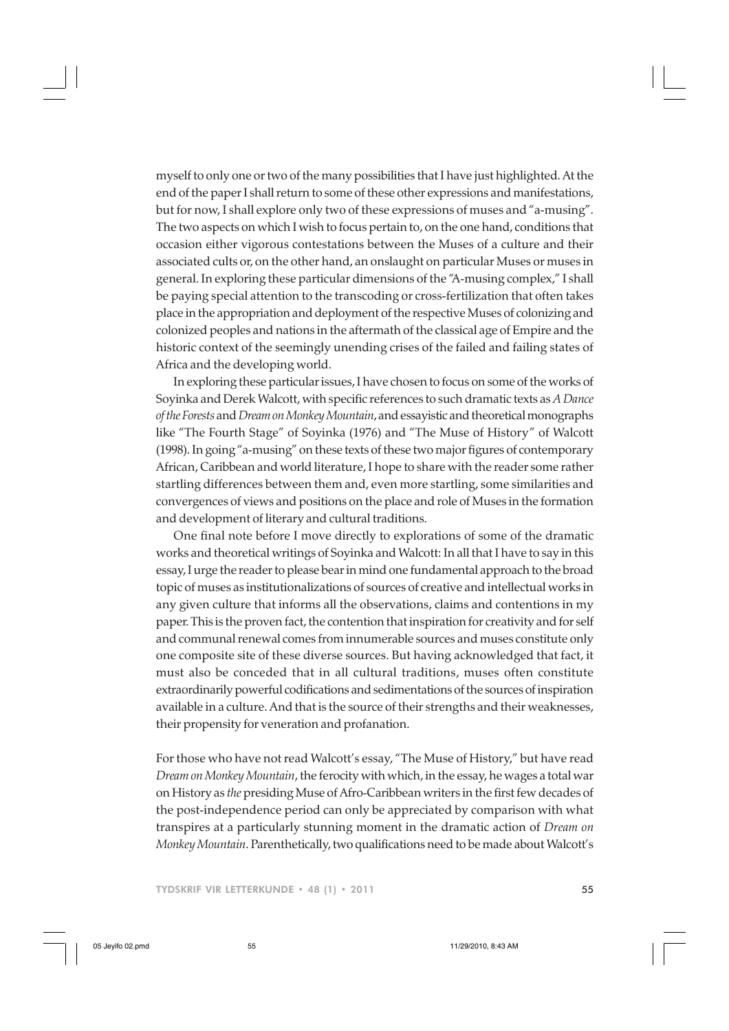myself to only one or two of the many possibilities that I have just highlighted. At the end of the paper I shall return to some of these other expressions and manifestations, but for now, I shall explore only two of these expressions of muses and "a-musing". The two aspects on which I wish to focus pertain to, on the one hand, conditions that occasion either vigorous contestations between the Muses of a culture and their associated cults or, on the other hand, an onslaught on particular Muses or muses in general. In exploring these particular dimensions of the "A-musing complex," I shall be paying special attention to the transcoding or cross-fertilization that often takes place in the appropriation and deployment of the respective Muses of colonizing and colonized peoples and nations in the aftermath of the classical age of Empire and the historic context of the seemingly unending crises of the failed and failing states of Africa and the developing world.

In exploring these particular issues, I have chosen to focus on some of the works of Soyinka and Derek Walcott, with specific references to such dramatic texts as *A Dance of the Forests* and *Dream on Monkey Mountain*, and essayistic and theoretical monographs like "The Fourth Stage" of Soyinka (1976) and "The Muse of History" of Walcott (1998). In going "a-musing" on these texts of these two major figures of contemporary African, Caribbean and world literature, I hope to share with the reader some rather startling differences between them and, even more startling, some similarities and convergences of views and positions on the place and role of Muses in the formation and development of literary and cultural traditions.

One final note before I move directly to explorations of some of the dramatic works and theoretical writings of Soyinka and Walcott: In all that I have to say in this essay, I urge the reader to please bear in mind one fundamental approach to the broad topic of muses as institutionalizations of sources of creative and intellectual works in any given culture that informs all the observations, claims and contentions in my paper. This is the proven fact, the contention that inspiration for creativity and for self and communal renewal comes from innumerable sources and muses constitute only one composite site of these diverse sources. But having acknowledged that fact, it must also be conceded that in all cultural traditions, muses often constitute extraordinarily powerful codifications and sedimentations of the sources of inspiration available in a culture. And that is the source of their strengths and their weaknesses, their propensity for veneration and profanation.

For those who have not read Walcott's essay, "The Muse of History," but have read *Dream on Monkey Mountain*, the ferocity with which, in the essay, he wages a total war on History as *the* presiding Muse of Afro-Caribbean writers in the first few decades of the post-independence period can only be appreciated by comparison with what transpires at a particularly stunning moment in the dramatic action of *Dream on Monkey Mountain*. Parenthetically, two qualifications need to be made about Walcott's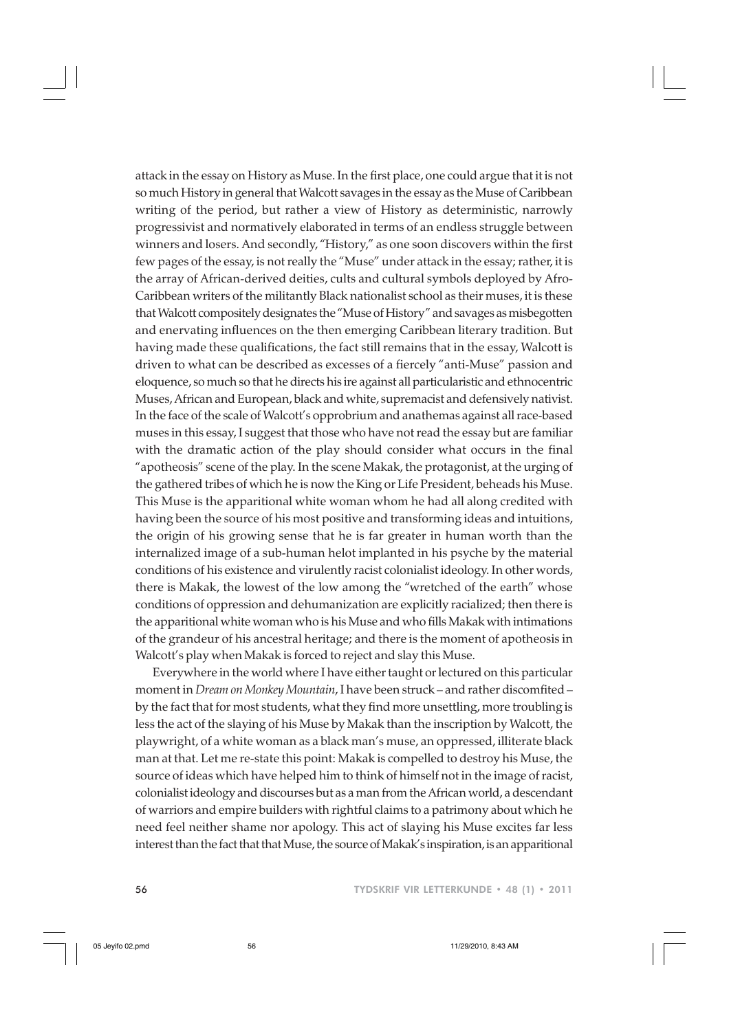attack in the essay on History as Muse. In the first place, one could argue that it is not so much History in general that Walcott savages in the essay as the Muse of Caribbean writing of the period, but rather a view of History as deterministic, narrowly progressivist and normatively elaborated in terms of an endless struggle between winners and losers. And secondly, "History," as one soon discovers within the first few pages of the essay, is not really the "Muse" under attack in the essay; rather, it is the array of African-derived deities, cults and cultural symbols deployed by Afro-Caribbean writers of the militantly Black nationalist school as their muses, it is these that Walcott compositely designates the "Muse of History" and savages as misbegotten and enervating influences on the then emerging Caribbean literary tradition. But having made these qualifications, the fact still remains that in the essay, Walcott is driven to what can be described as excesses of a fiercely "anti-Muse" passion and eloquence, so much so that he directs his ire against all particularistic and ethnocentric Muses, African and European, black and white, supremacist and defensively nativist. In the face of the scale of Walcott's opprobrium and anathemas against all race-based muses in this essay, I suggest that those who have not read the essay but are familiar with the dramatic action of the play should consider what occurs in the final "apotheosis" scene of the play. In the scene Makak, the protagonist, at the urging of the gathered tribes of which he is now the King or Life President, beheads his Muse. This Muse is the apparitional white woman whom he had all along credited with having been the source of his most positive and transforming ideas and intuitions, the origin of his growing sense that he is far greater in human worth than the internalized image of a sub-human helot implanted in his psyche by the material conditions of his existence and virulently racist colonialist ideology. In other words, there is Makak, the lowest of the low among the "wretched of the earth" whose conditions of oppression and dehumanization are explicitly racialized; then there is the apparitional white woman who is his Muse and who fills Makak with intimations of the grandeur of his ancestral heritage; and there is the moment of apotheosis in Walcott's play when Makak is forced to reject and slay this Muse.

Everywhere in the world where I have either taught or lectured on this particular moment in *Dream on Monkey Mountain*, I have been struck – and rather discomfited – by the fact that for most students, what they find more unsettling, more troubling is less the act of the slaying of his Muse by Makak than the inscription by Walcott, the playwright, of a white woman as a black man's muse, an oppressed, illiterate black man at that. Let me re-state this point: Makak is compelled to destroy his Muse, the source of ideas which have helped him to think of himself not in the image of racist, colonialist ideology and discourses but as a man from the African world, a descendant of warriors and empire builders with rightful claims to a patrimony about which he need feel neither shame nor apology. This act of slaying his Muse excites far less interest than the fact that that Muse, the source of Makak's inspiration, is an apparitional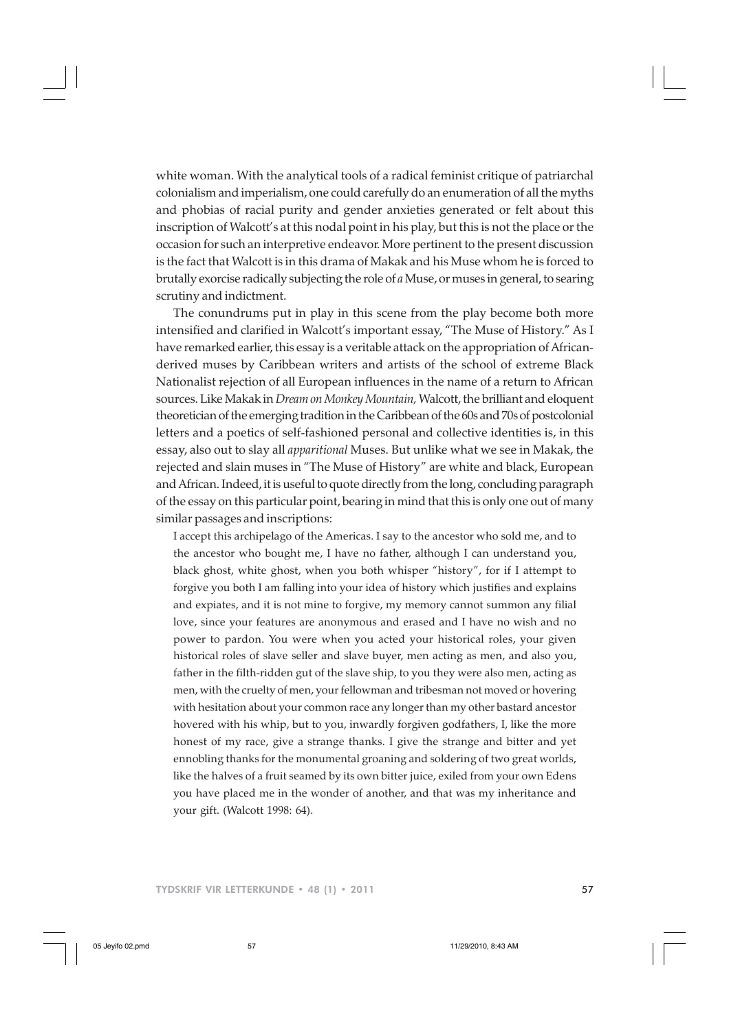white woman. With the analytical tools of a radical feminist critique of patriarchal colonialism and imperialism, one could carefully do an enumeration of all the myths and phobias of racial purity and gender anxieties generated or felt about this inscription of Walcott's at this nodal point in his play, but this is not the place or the occasion for such an interpretive endeavor. More pertinent to the present discussion is the fact that Walcott is in this drama of Makak and his Muse whom he is forced to brutally exorcise radically subjecting the role of *a* Muse, or muses in general, to searing scrutiny and indictment.

The conundrums put in play in this scene from the play become both more intensified and clarified in Walcott's important essay, "The Muse of History." As I have remarked earlier, this essay is a veritable attack on the appropriation of Africanderived muses by Caribbean writers and artists of the school of extreme Black Nationalist rejection of all European influences in the name of a return to African sources. Like Makak in *Dream on Monkey Mountain,* Walcott, the brilliant and eloquent theoretician of the emerging tradition in the Caribbean of the 60s and 70s of postcolonial letters and a poetics of self-fashioned personal and collective identities is, in this essay, also out to slay all *apparitional* Muses. But unlike what we see in Makak, the rejected and slain muses in "The Muse of History" are white and black, European and African. Indeed, it is useful to quote directly from the long, concluding paragraph of the essay on this particular point, bearing in mind that this is only one out of many similar passages and inscriptions:

I accept this archipelago of the Americas. I say to the ancestor who sold me, and to the ancestor who bought me, I have no father, although I can understand you, black ghost, white ghost, when you both whisper "history", for if I attempt to forgive you both I am falling into your idea of history which justifies and explains and expiates, and it is not mine to forgive, my memory cannot summon any filial love, since your features are anonymous and erased and I have no wish and no power to pardon. You were when you acted your historical roles, your given historical roles of slave seller and slave buyer, men acting as men, and also you, father in the filth-ridden gut of the slave ship, to you they were also men, acting as men, with the cruelty of men, your fellowman and tribesman not moved or hovering with hesitation about your common race any longer than my other bastard ancestor hovered with his whip, but to you, inwardly forgiven godfathers, I, like the more honest of my race, give a strange thanks. I give the strange and bitter and yet ennobling thanks for the monumental groaning and soldering of two great worlds, like the halves of a fruit seamed by its own bitter juice, exiled from your own Edens you have placed me in the wonder of another, and that was my inheritance and your gift. (Walcott 1998: 64).

TYDSKRIF VIR LETTERKUNDE • 48 (1) • 2011 57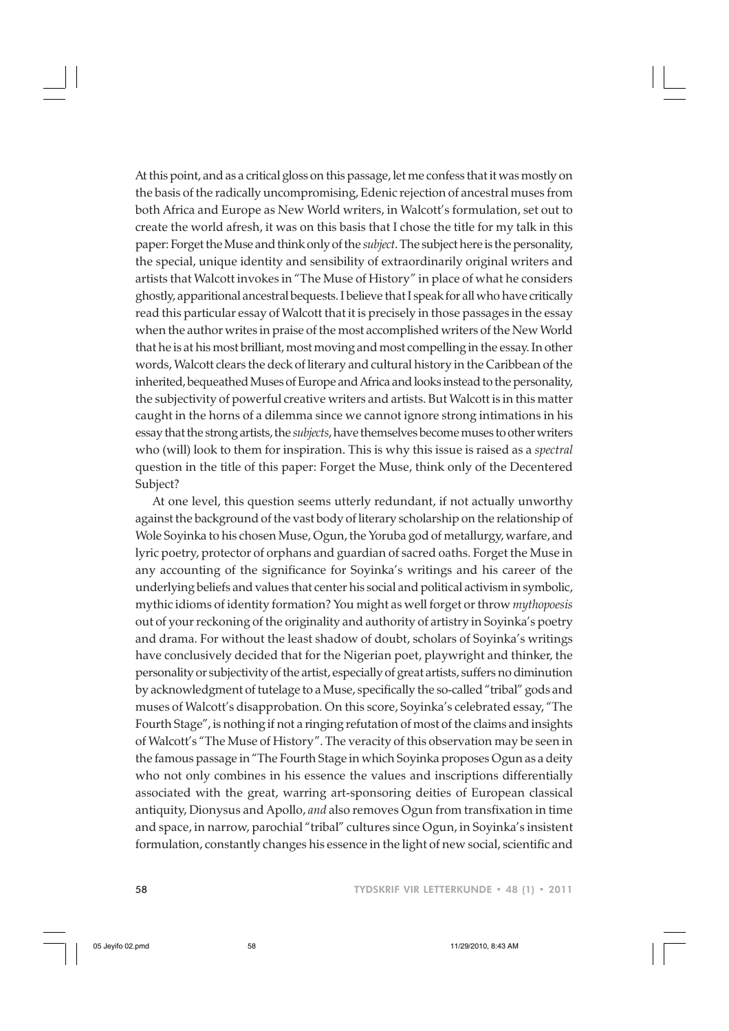At this point, and as a critical gloss on this passage, let me confess that it was mostly on the basis of the radically uncompromising, Edenic rejection of ancestral muses from both Africa and Europe as New World writers, in Walcott's formulation, set out to create the world afresh, it was on this basis that I chose the title for my talk in this paper: Forget the Muse and think only of the *subject*. The subject here is the personality, the special, unique identity and sensibility of extraordinarily original writers and artists that Walcott invokes in "The Muse of History" in place of what he considers ghostly, apparitional ancestral bequests. I believe that I speak for all who have critically read this particular essay of Walcott that it is precisely in those passages in the essay when the author writes in praise of the most accomplished writers of the New World that he is at his most brilliant, most moving and most compelling in the essay. In other words, Walcott clears the deck of literary and cultural history in the Caribbean of the inherited, bequeathed Muses of Europe and Africa and looks instead to the personality, the subjectivity of powerful creative writers and artists. But Walcott is in this matter caught in the horns of a dilemma since we cannot ignore strong intimations in his essay that the strong artists, the *subjects*, have themselves become muses to other writers who (will) look to them for inspiration. This is why this issue is raised as a *spectral* question in the title of this paper: Forget the Muse, think only of the Decentered Subject?

At one level, this question seems utterly redundant, if not actually unworthy against the background of the vast body of literary scholarship on the relationship of Wole Soyinka to his chosen Muse, Ogun, the Yoruba god of metallurgy, warfare, and lyric poetry, protector of orphans and guardian of sacred oaths. Forget the Muse in any accounting of the significance for Soyinka's writings and his career of the underlying beliefs and values that center his social and political activism in symbolic, mythic idioms of identity formation? You might as well forget or throw *mythopoesis* out of your reckoning of the originality and authority of artistry in Soyinka's poetry and drama. For without the least shadow of doubt, scholars of Soyinka's writings have conclusively decided that for the Nigerian poet, playwright and thinker, the personality or subjectivity of the artist, especially of great artists, suffers no diminution by acknowledgment of tutelage to a Muse, specifically the so-called "tribal" gods and muses of Walcott's disapprobation. On this score, Soyinka's celebrated essay, "The Fourth Stage", is nothing if not a ringing refutation of most of the claims and insights of Walcott's "The Muse of History". The veracity of this observation may be seen in the famous passage in "The Fourth Stage in which Soyinka proposes Ogun as a deity who not only combines in his essence the values and inscriptions differentially associated with the great, warring art-sponsoring deities of European classical antiquity, Dionysus and Apollo, *and* also removes Ogun from transfixation in time and space, in narrow, parochial "tribal" cultures since Ogun, in Soyinka's insistent formulation, constantly changes his essence in the light of new social, scientific and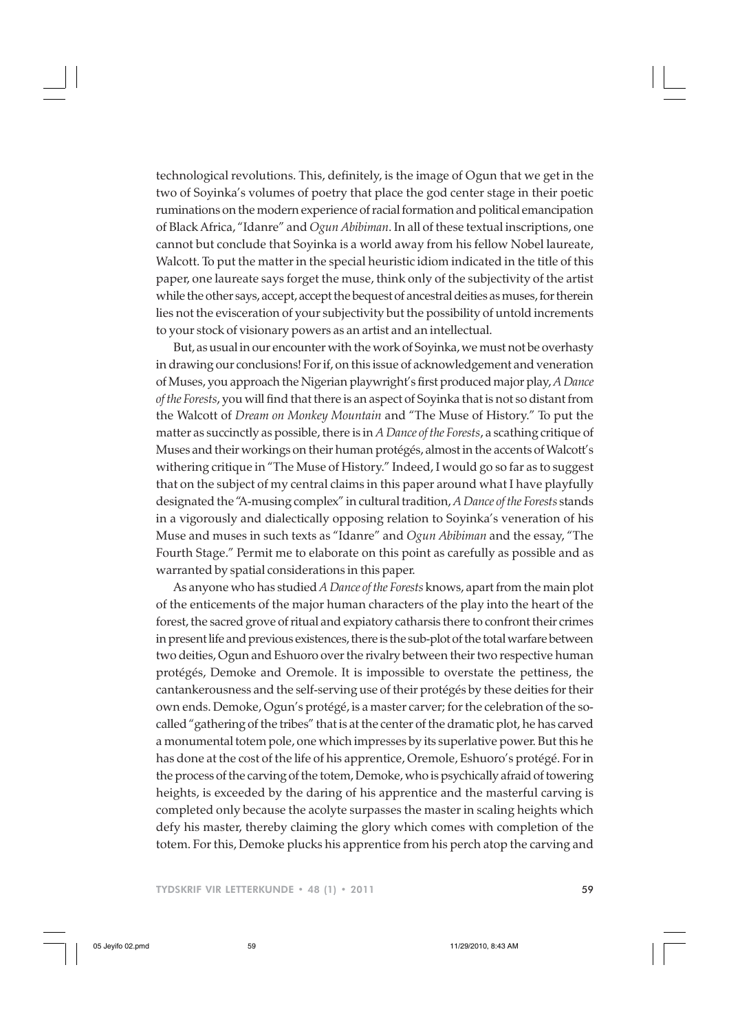technological revolutions. This, definitely, is the image of Ogun that we get in the two of Soyinka's volumes of poetry that place the god center stage in their poetic ruminations on the modern experience of racial formation and political emancipation of Black Africa, "Idanre" and *Ogun Abibiman*. In all of these textual inscriptions, one cannot but conclude that Soyinka is a world away from his fellow Nobel laureate, Walcott. To put the matter in the special heuristic idiom indicated in the title of this paper, one laureate says forget the muse, think only of the subjectivity of the artist while the other says, accept, accept the bequest of ancestral deities as muses, for therein lies not the evisceration of your subjectivity but the possibility of untold increments to your stock of visionary powers as an artist and an intellectual.

But, as usual in our encounter with the work of Soyinka, we must not be overhasty in drawing our conclusions! For if, on this issue of acknowledgement and veneration of Muses, you approach the Nigerian playwright's first produced major play, *A Dance of the Forests*, you will find that there is an aspect of Soyinka that is not so distant from the Walcott of *Dream on Monkey Mountain* and "The Muse of History." To put the matter as succinctly as possible, there is in *A Dance of the Forests*, a scathing critique of Muses and their workings on their human protégés, almost in the accents of Walcott's withering critique in "The Muse of History." Indeed, I would go so far as to suggest that on the subject of my central claims in this paper around what I have playfully designated the "A-musing complex" in cultural tradition, *A Dance of the Forests* stands in a vigorously and dialectically opposing relation to Soyinka's veneration of his Muse and muses in such texts as "Idanre" and *Ogun Abibiman* and the essay, "The Fourth Stage." Permit me to elaborate on this point as carefully as possible and as warranted by spatial considerations in this paper.

As anyone who has studied *A Dance of the Forests* knows, apart from the main plot of the enticements of the major human characters of the play into the heart of the forest, the sacred grove of ritual and expiatory catharsis there to confront their crimes in present life and previous existences, there is the sub-plot of the total warfare between two deities, Ogun and Eshuoro over the rivalry between their two respective human protégés, Demoke and Oremole. It is impossible to overstate the pettiness, the cantankerousness and the self-serving use of their protégés by these deities for their own ends. Demoke, Ogun's protégé, is a master carver; for the celebration of the socalled "gathering of the tribes" that is at the center of the dramatic plot, he has carved a monumental totem pole, one which impresses by its superlative power. But this he has done at the cost of the life of his apprentice, Oremole, Eshuoro's protégé. For in the process of the carving of the totem, Demoke, who is psychically afraid of towering heights, is exceeded by the daring of his apprentice and the masterful carving is completed only because the acolyte surpasses the master in scaling heights which defy his master, thereby claiming the glory which comes with completion of the totem. For this, Demoke plucks his apprentice from his perch atop the carving and

TYDSKRIF VIR LETTERKUNDE • 48 (1) • 2011 59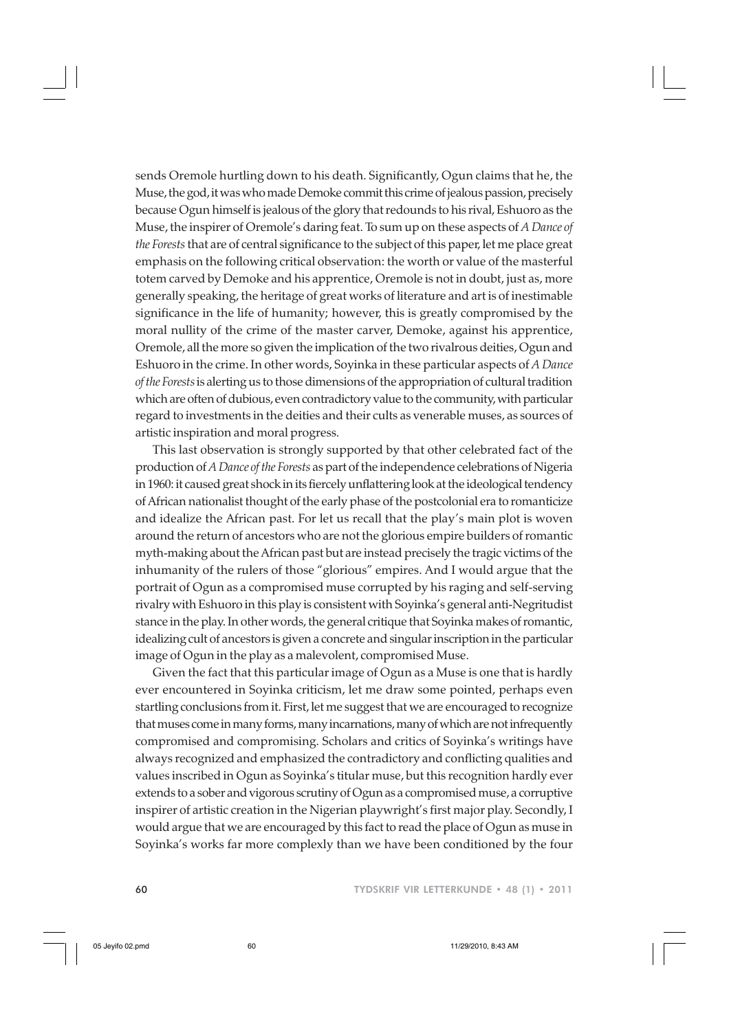sends Oremole hurtling down to his death. Significantly, Ogun claims that he, the Muse, the god, it was who made Demoke commit this crime of jealous passion, precisely because Ogun himself is jealous of the glory that redounds to his rival, Eshuoro as the Muse, the inspirer of Oremole's daring feat. To sum up on these aspects of *A Dance of the Forests* that are of central significance to the subject of this paper, let me place great emphasis on the following critical observation: the worth or value of the masterful totem carved by Demoke and his apprentice, Oremole is not in doubt, just as, more generally speaking, the heritage of great works of literature and art is of inestimable significance in the life of humanity; however, this is greatly compromised by the moral nullity of the crime of the master carver, Demoke, against his apprentice, Oremole, all the more so given the implication of the two rivalrous deities, Ogun and Eshuoro in the crime. In other words, Soyinka in these particular aspects of *A Dance of the Forests* is alerting us to those dimensions of the appropriation of cultural tradition which are often of dubious, even contradictory value to the community, with particular regard to investments in the deities and their cults as venerable muses, as sources of artistic inspiration and moral progress.

This last observation is strongly supported by that other celebrated fact of the production of *A Dance of the Forests* as part of the independence celebrations of Nigeria in 1960: it caused great shock in its fiercely unflattering look at the ideological tendency of African nationalist thought of the early phase of the postcolonial era to romanticize and idealize the African past. For let us recall that the play's main plot is woven around the return of ancestors who are not the glorious empire builders of romantic myth-making about the African past but are instead precisely the tragic victims of the inhumanity of the rulers of those "glorious" empires. And I would argue that the portrait of Ogun as a compromised muse corrupted by his raging and self-serving rivalry with Eshuoro in this play is consistent with Soyinka's general anti-Negritudist stance in the play. In other words, the general critique that Soyinka makes of romantic, idealizing cult of ancestors is given a concrete and singular inscription in the particular image of Ogun in the play as a malevolent, compromised Muse.

Given the fact that this particular image of Ogun as a Muse is one that is hardly ever encountered in Soyinka criticism, let me draw some pointed, perhaps even startling conclusions from it. First, let me suggest that we are encouraged to recognize that muses come in many forms, many incarnations, many of which are not infrequently compromised and compromising. Scholars and critics of Soyinka's writings have always recognized and emphasized the contradictory and conflicting qualities and values inscribed in Ogun as Soyinka's titular muse, but this recognition hardly ever extends to a sober and vigorous scrutiny of Ogun as a compromised muse, a corruptive inspirer of artistic creation in the Nigerian playwright's first major play. Secondly, I would argue that we are encouraged by this fact to read the place of Ogun as muse in Soyinka's works far more complexly than we have been conditioned by the four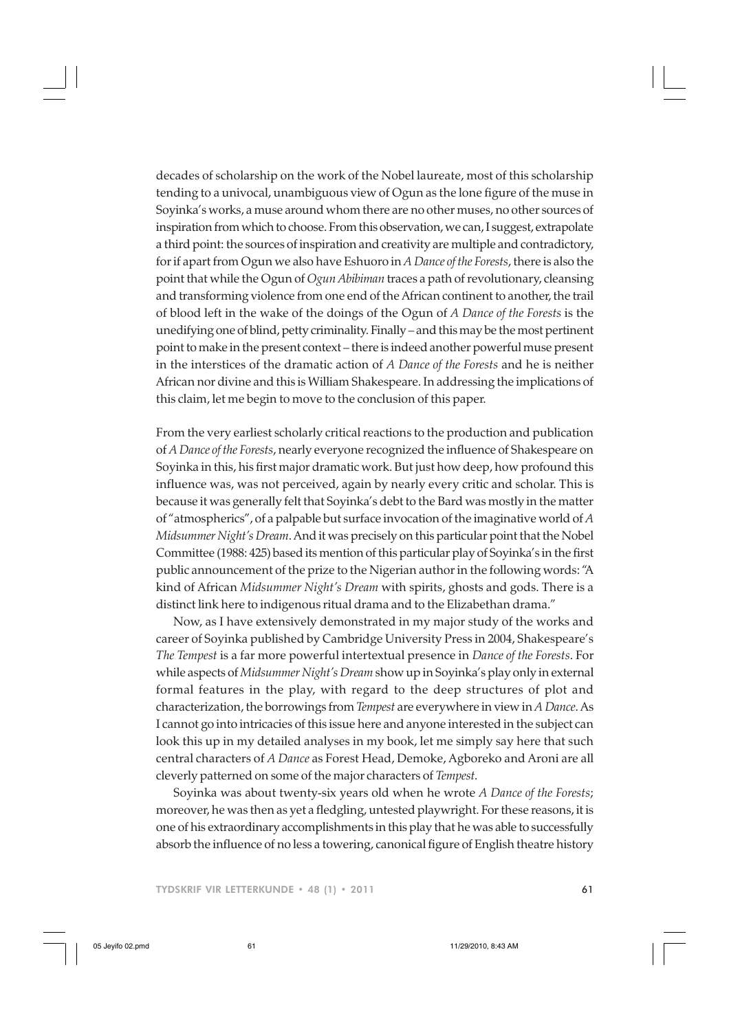decades of scholarship on the work of the Nobel laureate, most of this scholarship tending to a univocal, unambiguous view of Ogun as the lone figure of the muse in Soyinka's works, a muse around whom there are no other muses, no other sources of inspiration from which to choose. From this observation, we can, I suggest, extrapolate a third point: the sources of inspiration and creativity are multiple and contradictory, for if apart from Ogun we also have Eshuoro in *A Dance of the Forests*, there is also the point that while the Ogun of *Ogun Abibiman* traces a path of revolutionary, cleansing and transforming violence from one end of the African continent to another, the trail of blood left in the wake of the doings of the Ogun of *A Dance of the Forests* is the unedifying one of blind, petty criminality. Finally – and this may be the most pertinent point to make in the present context – there is indeed another powerful muse present in the interstices of the dramatic action of *A Dance of the Forests* and he is neither African nor divine and this is William Shakespeare. In addressing the implications of this claim, let me begin to move to the conclusion of this paper.

From the very earliest scholarly critical reactions to the production and publication of *A Dance of the Forests*, nearly everyone recognized the influence of Shakespeare on Soyinka in this, his first major dramatic work. But just how deep, how profound this influence was, was not perceived, again by nearly every critic and scholar. This is because it was generally felt that Soyinka's debt to the Bard was mostly in the matter of "atmospherics", of a palpable but surface invocation of the imaginative world of *A Midsummer Night's Dream*. And it was precisely on this particular point that the Nobel Committee (1988: 425) based its mention of this particular play of Soyinka's in the first public announcement of the prize to the Nigerian author in the following words: "A kind of African *Midsummer Night's Dream* with spirits, ghosts and gods. There is a distinct link here to indigenous ritual drama and to the Elizabethan drama."

Now, as I have extensively demonstrated in my major study of the works and career of Soyinka published by Cambridge University Press in 2004, Shakespeare's *The Tempest* is a far more powerful intertextual presence in *Dance of the Forests*. For while aspects of *Midsummer Night's Dream* show up in Soyinka's play only in external formal features in the play, with regard to the deep structures of plot and characterization, the borrowings from *Tempest* are everywhere in view in *A Dance*. As I cannot go into intricacies of this issue here and anyone interested in the subject can look this up in my detailed analyses in my book, let me simply say here that such central characters of *A Dance* as Forest Head, Demoke, Agboreko and Aroni are all cleverly patterned on some of the major characters of *Tempest*.

Soyinka was about twenty-six years old when he wrote *A Dance of the Forests*; moreover, he was then as yet a fledgling, untested playwright. For these reasons, it is one of his extraordinary accomplishments in this play that he was able to successfully absorb the influence of no less a towering, canonical figure of English theatre history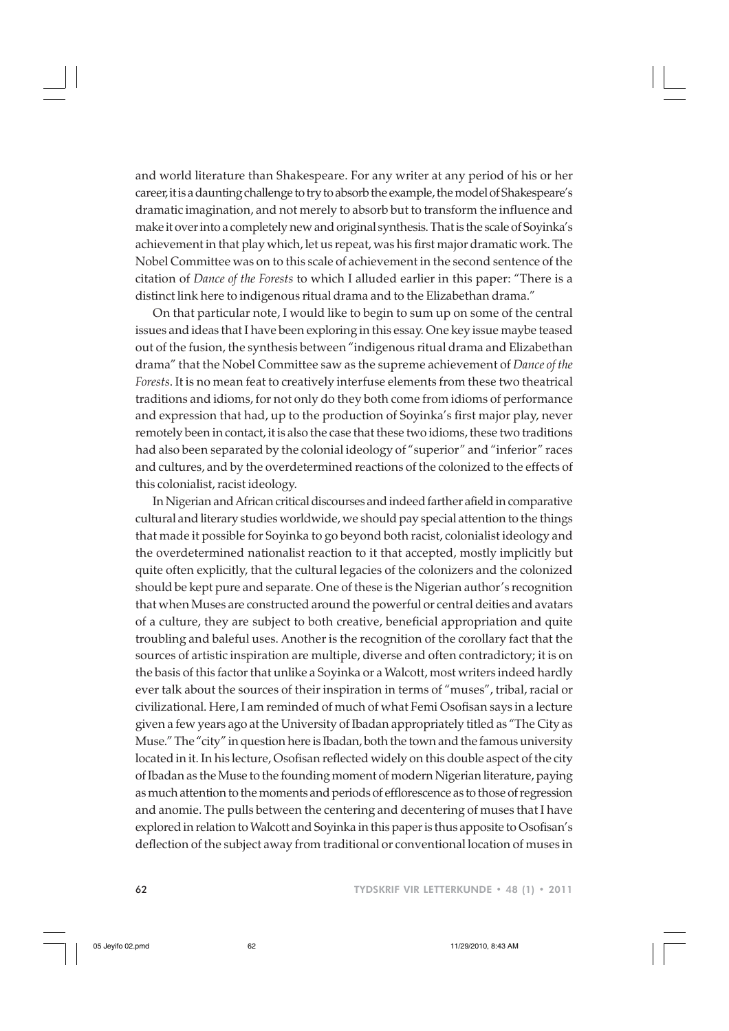and world literature than Shakespeare. For any writer at any period of his or her career, it is a daunting challenge to try to absorb the example, the model of Shakespeare's dramatic imagination, and not merely to absorb but to transform the influence and make it over into a completely new and original synthesis. That is the scale of Soyinka's achievement in that play which, let us repeat, was his first major dramatic work. The Nobel Committee was on to this scale of achievement in the second sentence of the citation of *Dance of the Forests* to which I alluded earlier in this paper: "There is a distinct link here to indigenous ritual drama and to the Elizabethan drama."

On that particular note, I would like to begin to sum up on some of the central issues and ideas that I have been exploring in this essay. One key issue maybe teased out of the fusion, the synthesis between "indigenous ritual drama and Elizabethan drama" that the Nobel Committee saw as the supreme achievement of *Dance of the Forests*. It is no mean feat to creatively interfuse elements from these two theatrical traditions and idioms, for not only do they both come from idioms of performance and expression that had, up to the production of Soyinka's first major play, never remotely been in contact, it is also the case that these two idioms, these two traditions had also been separated by the colonial ideology of "superior" and "inferior" races and cultures, and by the overdetermined reactions of the colonized to the effects of this colonialist, racist ideology.

In Nigerian and African critical discourses and indeed farther afield in comparative cultural and literary studies worldwide, we should pay special attention to the things that made it possible for Soyinka to go beyond both racist, colonialist ideology and the overdetermined nationalist reaction to it that accepted, mostly implicitly but quite often explicitly, that the cultural legacies of the colonizers and the colonized should be kept pure and separate. One of these is the Nigerian author's recognition that when Muses are constructed around the powerful or central deities and avatars of a culture, they are subject to both creative, beneficial appropriation and quite troubling and baleful uses. Another is the recognition of the corollary fact that the sources of artistic inspiration are multiple, diverse and often contradictory; it is on the basis of this factor that unlike a Soyinka or a Walcott, most writers indeed hardly ever talk about the sources of their inspiration in terms of "muses", tribal, racial or civilizational. Here, I am reminded of much of what Femi Osofisan says in a lecture given a few years ago at the University of Ibadan appropriately titled as "The City as Muse." The "city" in question here is Ibadan, both the town and the famous university located in it. In his lecture, Osofisan reflected widely on this double aspect of the city of Ibadan as the Muse to the founding moment of modern Nigerian literature, paying as much attention to the moments and periods of efflorescence as to those of regression and anomie. The pulls between the centering and decentering of muses that I have explored in relation to Walcott and Soyinka in this paper is thus apposite to Osofisan's deflection of the subject away from traditional or conventional location of muses in